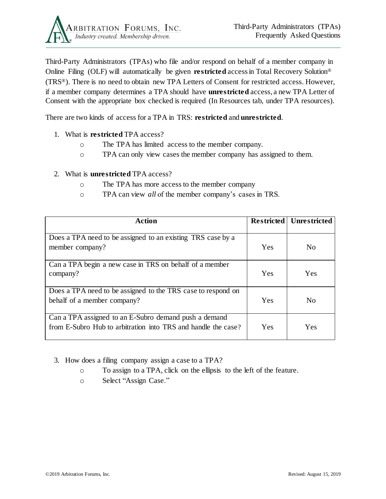

Third-Party Administrators (TPAs) who file and/or respond on behalf of a member company in Online Filing (OLF) will automatically be given **restricted** access in Total Recovery Solution® (TRS®). There is no need to obtain new TPA Letters of Consent for restricted access. However, if a member company determines a TPA should have **unrestricted** access, a new TPA Letter of Consent with the appropriate box checked is required (In Resources tab, under TPA resources).

There are two kinds of access for a TPA in TRS: **restricted** and **unrestricted**.

- 1. What is **restricted** TPA access?
	- o The TPA has limited access to the member company.
	- o TPA can only view cases the member company has assigned to them.

## 2. What is **unrestricted** TPA access?

- o The TPA has more access to the member company
- o TPA can view *all* of the member company's cases in TRS.

| <b>Action</b>                                                                                                          | <b>Restricted</b> | <b>Unrestricted</b> |
|------------------------------------------------------------------------------------------------------------------------|-------------------|---------------------|
| Does a TPA need to be assigned to an existing TRS case by a<br>member company?                                         | Yes               | No                  |
| Can a TPA begin a new case in TRS on behalf of a member<br>company?                                                    | Yes               | Yes                 |
| Does a TPA need to be assigned to the TRS case to respond on<br>behalf of a member company?                            | Yes               | N <sub>0</sub>      |
| Can a TPA assigned to an E-Subro demand push a demand<br>from E-Subro Hub to arbitration into TRS and handle the case? | Yes               | Yes                 |

- 3. How does a filing company assign a case to a TPA?
	- o To assign to a TPA, click on the ellipsis to the left of the feature.
	- o Select "Assign Case."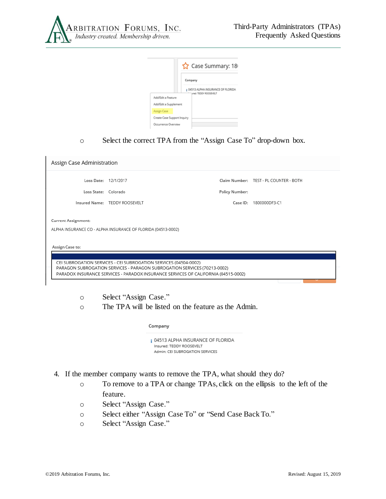

|                             | ☆ Case Summary: 18                                          |  |  |  |  |
|-----------------------------|-------------------------------------------------------------|--|--|--|--|
|                             | Company                                                     |  |  |  |  |
|                             | # 04513 ALPHA INSURANCE OF FLORIDA<br>ured: TEDDY ROOSEVELT |  |  |  |  |
| Add/Edit a Feature          |                                                             |  |  |  |  |
| Add/Edit a Supplement       |                                                             |  |  |  |  |
| Assign Case                 |                                                             |  |  |  |  |
| Create Case Support Inquiry |                                                             |  |  |  |  |
| Occurrence Overview         |                                                             |  |  |  |  |

## o Select the correct TPA from the "Assign Case To" drop-down box.

| Assign Case Administration                                                                                                                                                                                                                            |                                                       |                            |                                                         |  |  |  |
|-------------------------------------------------------------------------------------------------------------------------------------------------------------------------------------------------------------------------------------------------------|-------------------------------------------------------|----------------------------|---------------------------------------------------------|--|--|--|
| Loss State: Colorado                                                                                                                                                                                                                                  | Loss Date: 12/1/2017<br>Insured Name: TEDDY ROOSEVELT | Policy Number:<br>Case ID: | Claim Number: TEST - PL COUNTER - BOTH<br>1800000DF3-C1 |  |  |  |
| <b>Current Assignment:</b><br>ALPHA INSURANCE CO - ALPHA INSURANCE OF FLORIDA (04513-0002)                                                                                                                                                            |                                                       |                            |                                                         |  |  |  |
| Assign Case to:<br>CEI SUBROGATION SERVICES - CEI SUBROGATION SERVICES (04504-0002)<br>PARAGON SUBROGATION SERVICES - PARAGON SUBROGATION SERVICES (70213-0002)<br>PARADOX INSURANCE SERVICES - PARADOX INSURANCE SERVICES OF CALIFORNIA (04515-0002) |                                                       |                            |                                                         |  |  |  |

o Select "Assign Case."

o The TPA will be listed on the feature as the Admin.

## Company

¡ 04513 ALPHA INSURANCE OF FLORIDA Insured: TEDDY ROOSEVELT Admin: CEI SUBROGATION SERVICES

- 4. If the member company wants to remove the TPA, what should they do?
	- o To remove to a TPA or change TPAs, click on the ellipsis to the left of the feature.
	- o Select "Assign Case."
	- o Select either "Assign Case To" or "Send Case Back To."
	- o Select "Assign Case."